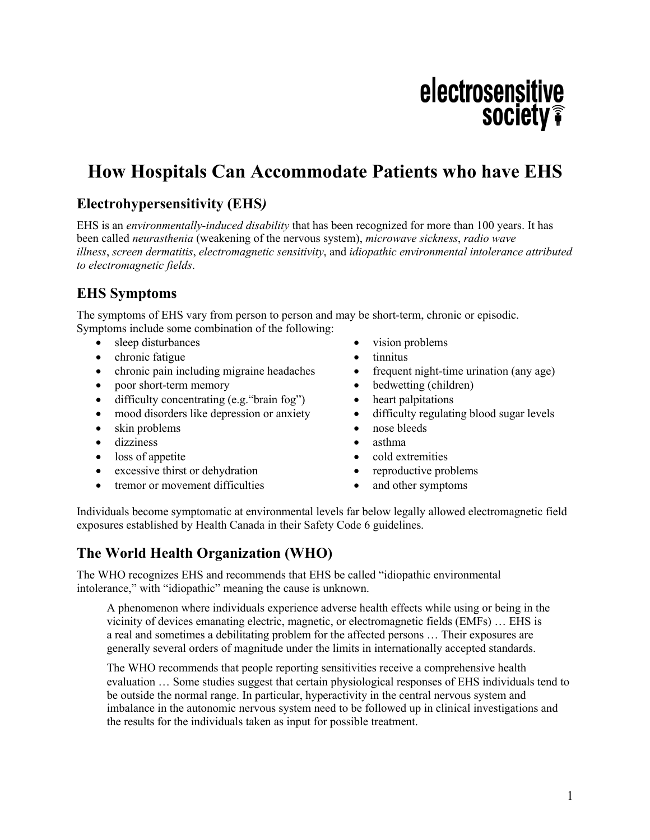# electrosensitive **society**

## **How Hospitals Can Accommodate Patients who have EHS**

## **Electrohypersensitivity (EHS***)*

EHS is an *environmentally-induced disability* that has been recognized for more than 100 years. It has been called *neurasthenia* (weakening of the nervous system), *microwave sickness*, *radio wave illness*, *screen dermatitis*, *electromagnetic sensitivity*, and *idiopathic environmental intolerance attributed to electromagnetic fields*.

## **EHS Symptoms**

The symptoms of EHS vary from person to person and may be short-term, chronic or episodic. Symptoms include some combination of the following:

- sleep disturbances
- chronic fatigue
- chronic pain including migraine headaches
- poor short-term memory
- difficulty concentrating (e.g. "brain fog")
- mood disorders like depression or anxiety
- skin problems
- dizziness
- loss of appetite
- excessive thirst or dehydration
- tremor or movement difficulties
- vision problems
- tinnitus
- frequent night-time urination (any age)
- bedwetting (children)
- heart palpitations
- difficulty regulating blood sugar levels
- nose bleeds
- asthma
- cold extremities
- reproductive problems
- and other symptoms

Individuals become symptomatic at environmental levels far below legally allowed electromagnetic field exposures established by Health Canada in their Safety Code 6 guidelines.

## **The World Health Organization (WHO)**

The WHO recognizes EHS and recommends that EHS be called "idiopathic environmental intolerance," with "idiopathic" meaning the cause is unknown.

A phenomenon where individuals experience adverse health effects while using or being in the vicinity of devices emanating electric, magnetic, or electromagnetic fields (EMFs) … EHS is a real and sometimes a debilitating problem for the affected persons … Their exposures are generally several orders of magnitude under the limits in internationally accepted standards.

The WHO recommends that people reporting sensitivities receive a comprehensive health evaluation … Some studies suggest that certain physiological responses of EHS individuals tend to be outside the normal range. In particular, hyperactivity in the central nervous system and imbalance in the autonomic nervous system need to be followed up in clinical investigations and the results for the individuals taken as input for possible treatment.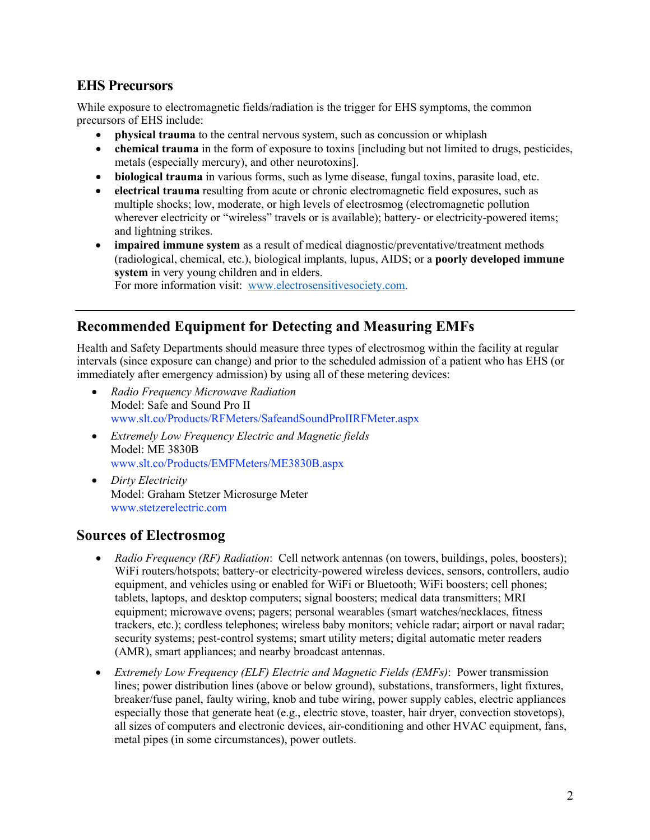## **EHS Precursors**

While exposure to electromagnetic fields/radiation is the trigger for EHS symptoms, the common precursors of EHS include:

- **physical trauma** to the central nervous system, such as concussion or whiplash
- **chemical trauma** in the form of exposure to toxins [including but not limited to drugs, pesticides, metals (especially mercury), and other neurotoxins].
- **biological trauma** in various forms, such as lyme disease, fungal toxins, parasite load, etc.
- **electrical trauma** resulting from acute or chronic electromagnetic field exposures, such as multiple shocks; low, moderate, or high levels of electrosmog (electromagnetic pollution wherever electricity or "wireless" travels or is available); battery- or electricity-powered items; and lightning strikes.
- **impaired immune system** as a result of medical diagnostic/preventative/treatment methods (radiological, chemical, etc.), biological implants, lupus, AIDS; or a **poorly developed immune system** in very young children and in elders. For more information visit: www.electrosensitivesociety.com.

## **Recommended Equipment for Detecting and Measuring EMFs**

Health and Safety Departments should measure three types of electrosmog within the facility at regular intervals (since exposure can change) and prior to the scheduled admission of a patient who has EHS (or immediately after emergency admission) by using all of these metering devices:

- *Radio Frequency Microwave Radiation* Model: Safe and Sound Pro II www.slt.co/Products/RFMeters/SafeandSoundProIIRFMeter.aspx
- *Extremely Low Frequency Electric and Magnetic fields* Model: ME 3830B www.slt.co/Products/EMFMeters/ME3830B.aspx
- *Dirty Electricity* Model: Graham Stetzer Microsurge Meter www.stetzerelectric.com

#### **Sources of Electrosmog**

- *Radio Frequency (RF) Radiation*: Cell network antennas (on towers, buildings, poles, boosters); WiFi routers/hotspots; battery-or electricity-powered wireless devices, sensors, controllers, audio equipment, and vehicles using or enabled for WiFi or Bluetooth; WiFi boosters; cell phones; tablets, laptops, and desktop computers; signal boosters; medical data transmitters; MRI equipment; microwave ovens; pagers; personal wearables (smart watches/necklaces, fitness trackers, etc.); cordless telephones; wireless baby monitors; vehicle radar; airport or naval radar; security systems; pest-control systems; smart utility meters; digital automatic meter readers (AMR), smart appliances; and nearby broadcast antennas.
- *Extremely Low Frequency (ELF) Electric and Magnetic Fields (EMFs)*: Power transmission lines; power distribution lines (above or below ground), substations, transformers, light fixtures, breaker/fuse panel, faulty wiring, knob and tube wiring, power supply cables, electric appliances especially those that generate heat (e.g., electric stove, toaster, hair dryer, convection stovetops), all sizes of computers and electronic devices, air-conditioning and other HVAC equipment, fans, metal pipes (in some circumstances), power outlets.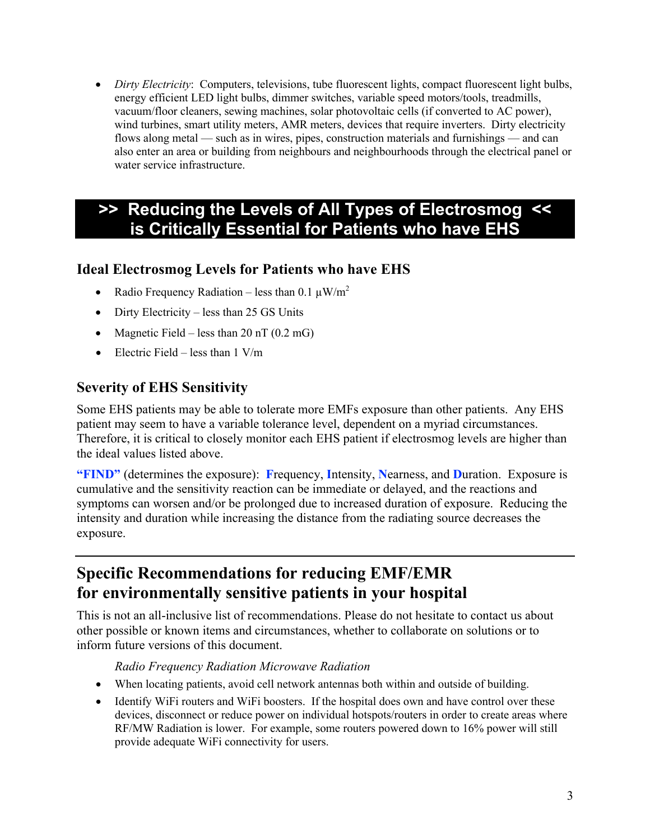• *Dirty Electricity*: Computers, televisions, tube fluorescent lights, compact fluorescent light bulbs, energy efficient LED light bulbs, dimmer switches, variable speed motors/tools, treadmills, vacuum/floor cleaners, sewing machines, solar photovoltaic cells (if converted to AC power), wind turbines, smart utility meters, AMR meters, devices that require inverters. Dirty electricity flows along metal — such as in wires, pipes, construction materials and furnishings — and can also enter an area or building from neighbours and neighbourhoods through the electrical panel or water service infrastructure.

## **>> Reducing the Levels of All Types of Electrosmog << is Critically Essential for Patients who have EHS**

## **Ideal Electrosmog Levels for Patients who have EHS**

- Radio Frequency Radiation less than 0.1  $\mu$ W/m<sup>2</sup>
- Dirty Electricity less than 25 GS Units
- Magnetic Field less than  $20 \text{ nT}$  (0.2 mG)
- Electric Field less than  $1 \text{ V/m}$

## **Severity of EHS Sensitivity**

Some EHS patients may be able to tolerate more EMFs exposure than other patients. Any EHS patient may seem to have a variable tolerance level, dependent on a myriad circumstances. Therefore, it is critical to closely monitor each EHS patient if electrosmog levels are higher than the ideal values listed above.

**"FIND"** (determines the exposure): **F**requency, **I**ntensity, **N**earness, and **D**uration. Exposure is cumulative and the sensitivity reaction can be immediate or delayed, and the reactions and symptoms can worsen and/or be prolonged due to increased duration of exposure. Reducing the intensity and duration while increasing the distance from the radiating source decreases the exposure.

## **Specific Recommendations for reducing EMF/EMR for environmentally sensitive patients in your hospital**

This is not an all-inclusive list of recommendations. Please do not hesitate to contact us about other possible or known items and circumstances, whether to collaborate on solutions or to inform future versions of this document.

#### *Radio Frequency Radiation Microwave Radiation*

- When locating patients, avoid cell network antennas both within and outside of building.
- Identify WiFi routers and WiFi boosters. If the hospital does own and have control over these devices, disconnect or reduce power on individual hotspots/routers in order to create areas where RF/MW Radiation is lower. For example, some routers powered down to 16% power will still provide adequate WiFi connectivity for users.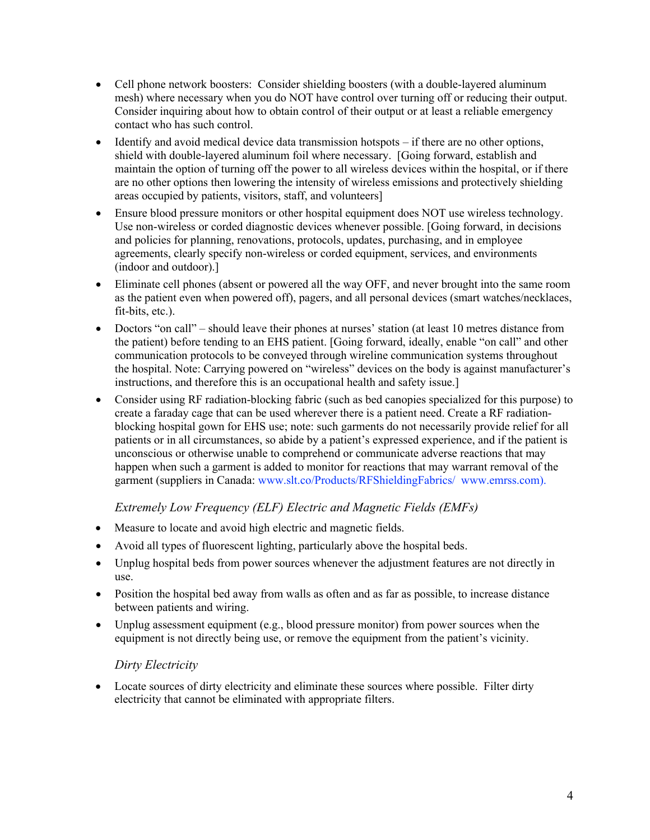- Cell phone network boosters: Consider shielding boosters (with a double-layered aluminum mesh) where necessary when you do NOT have control over turning off or reducing their output. Consider inquiring about how to obtain control of their output or at least a reliable emergency contact who has such control.
- $\bullet$  Identify and avoid medical device data transmission hotspots  $-i$  finere are no other options, shield with double-layered aluminum foil where necessary. [Going forward, establish and maintain the option of turning off the power to all wireless devices within the hospital, or if there are no other options then lowering the intensity of wireless emissions and protectively shielding areas occupied by patients, visitors, staff, and volunteers]
- Ensure blood pressure monitors or other hospital equipment does NOT use wireless technology. Use non-wireless or corded diagnostic devices whenever possible. [Going forward, in decisions and policies for planning, renovations, protocols, updates, purchasing, and in employee agreements, clearly specify non-wireless or corded equipment, services, and environments (indoor and outdoor).]
- Eliminate cell phones (absent or powered all the way OFF, and never brought into the same room as the patient even when powered off), pagers, and all personal devices (smart watches/necklaces, fit-bits, etc.).
- Doctors "on call" should leave their phones at nurses' station (at least 10 metres distance from the patient) before tending to an EHS patient. [Going forward, ideally, enable "on call" and other communication protocols to be conveyed through wireline communication systems throughout the hospital. Note: Carrying powered on "wireless" devices on the body is against manufacturer's instructions, and therefore this is an occupational health and safety issue.]
- Consider using RF radiation-blocking fabric (such as bed canopies specialized for this purpose) to create a faraday cage that can be used wherever there is a patient need. Create a RF radiationblocking hospital gown for EHS use; note: such garments do not necessarily provide relief for all patients or in all circumstances, so abide by a patient's expressed experience, and if the patient is unconscious or otherwise unable to comprehend or communicate adverse reactions that may happen when such a garment is added to monitor for reactions that may warrant removal of the garment (suppliers in Canada: www.slt.co/Products/RFShieldingFabrics/ www.emrss.com).

#### *Extremely Low Frequency (ELF) Electric and Magnetic Fields (EMFs)*

- Measure to locate and avoid high electric and magnetic fields.
- Avoid all types of fluorescent lighting, particularly above the hospital beds.
- Unplug hospital beds from power sources whenever the adjustment features are not directly in use.
- Position the hospital bed away from walls as often and as far as possible, to increase distance between patients and wiring.
- Unplug assessment equipment (e.g., blood pressure monitor) from power sources when the equipment is not directly being use, or remove the equipment from the patient's vicinity.

#### *Dirty Electricity*

• Locate sources of dirty electricity and eliminate these sources where possible. Filter dirty electricity that cannot be eliminated with appropriate filters.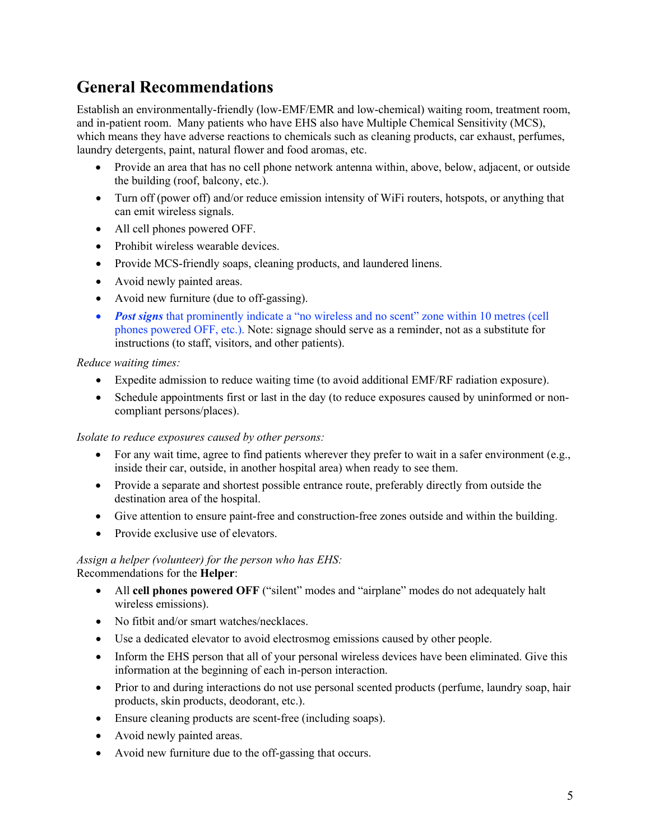## **General Recommendations**

Establish an environmentally-friendly (low-EMF/EMR and low-chemical) waiting room, treatment room, and in-patient room. Many patients who have EHS also have Multiple Chemical Sensitivity (MCS), which means they have adverse reactions to chemicals such as cleaning products, car exhaust, perfumes, laundry detergents, paint, natural flower and food aromas, etc.

- Provide an area that has no cell phone network antenna within, above, below, adjacent, or outside the building (roof, balcony, etc.).
- Turn off (power off) and/or reduce emission intensity of WiFi routers, hotspots, or anything that can emit wireless signals.
- All cell phones powered OFF.
- Prohibit wireless wearable devices.
- Provide MCS-friendly soaps, cleaning products, and laundered linens.
- Avoid newly painted areas.
- Avoid new furniture (due to off-gassing).
- *Post signs* that prominently indicate a "no wireless and no scent" zone within 10 metres (cell phones powered OFF, etc.). Note: signage should serve as a reminder, not as a substitute for instructions (to staff, visitors, and other patients).

#### *Reduce waiting times:*

- Expedite admission to reduce waiting time (to avoid additional EMF/RF radiation exposure).
- Schedule appointments first or last in the day (to reduce exposures caused by uninformed or noncompliant persons/places).

#### *Isolate to reduce exposures caused by other persons:*

- For any wait time, agree to find patients wherever they prefer to wait in a safer environment (e.g., inside their car, outside, in another hospital area) when ready to see them.
- Provide a separate and shortest possible entrance route, preferably directly from outside the destination area of the hospital.
- Give attention to ensure paint-free and construction-free zones outside and within the building.
- Provide exclusive use of elevators.

#### *Assign a helper (volunteer) for the person who has EHS:* Recommendations for the **Helper**:

- All **cell phones powered OFF** ("silent" modes and "airplane" modes do not adequately halt wireless emissions).
- No fitbit and/or smart watches/necklaces.
- Use a dedicated elevator to avoid electrosmog emissions caused by other people.
- Inform the EHS person that all of your personal wireless devices have been eliminated. Give this information at the beginning of each in-person interaction.
- Prior to and during interactions do not use personal scented products (perfume, laundry soap, hair products, skin products, deodorant, etc.).
- Ensure cleaning products are scent-free (including soaps).
- Avoid newly painted areas.
- Avoid new furniture due to the off-gassing that occurs.